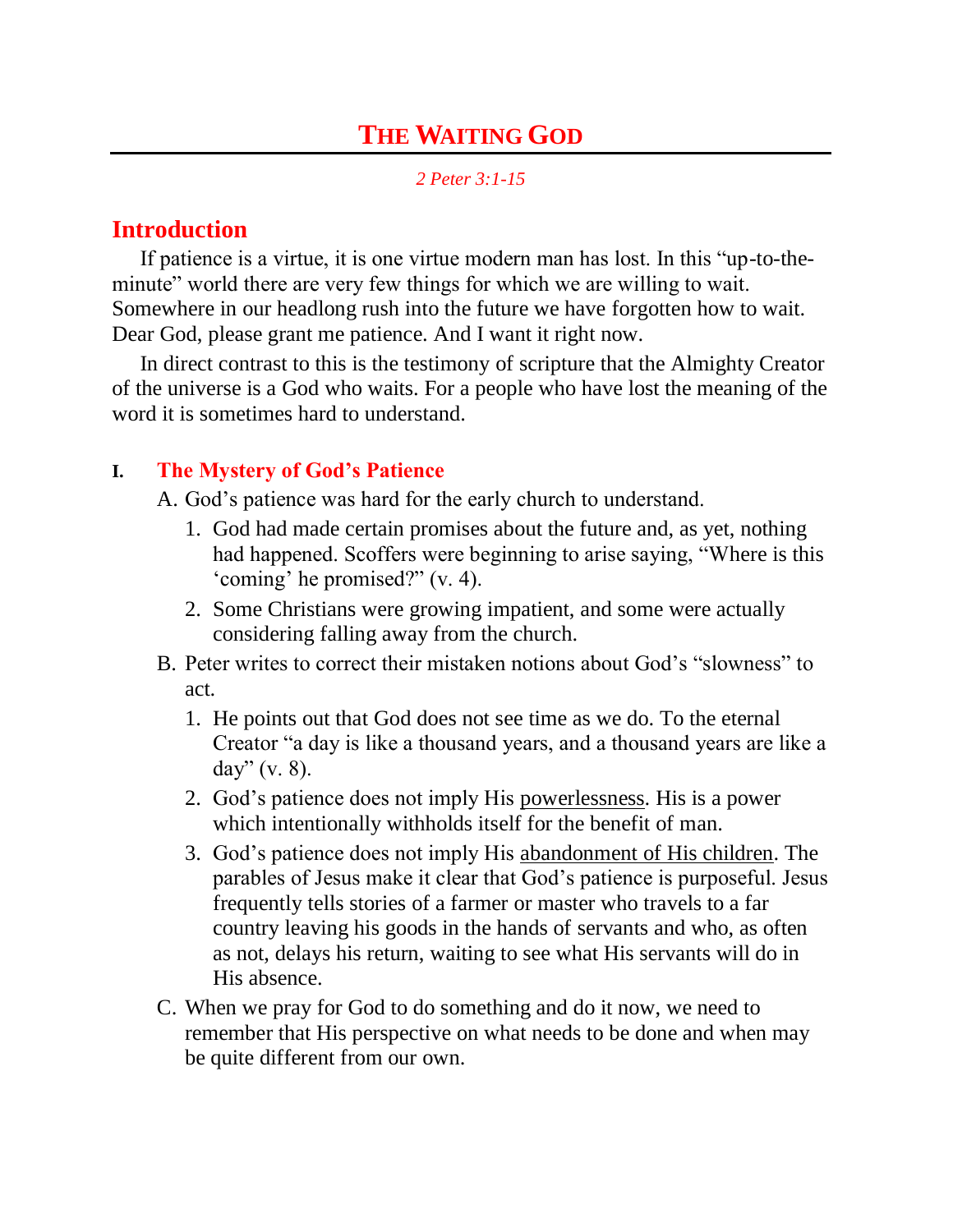# **THE WAITING GOD**

*2 Peter 3:1-15*

### **Introduction**

If patience is a virtue, it is one virtue modern man has lost. In this "up-to-theminute" world there are very few things for which we are willing to wait. Somewhere in our headlong rush into the future we have forgotten how to wait. Dear God, please grant me patience. And I want it right now.

In direct contrast to this is the testimony of scripture that the Almighty Creator of the universe is a God who waits. For a people who have lost the meaning of the word it is sometimes hard to understand.

#### **I. The Mystery of God's Patience**

A. God"s patience was hard for the early church to understand.

- 1. God had made certain promises about the future and, as yet, nothing had happened. Scoffers were beginning to arise saying, "Where is this 'coming' he promised?" (v. 4).
- 2. Some Christians were growing impatient, and some were actually considering falling away from the church.
- B. Peter writes to correct their mistaken notions about God"s "slowness" to act.
	- 1. He points out that God does not see time as we do. To the eternal Creator "a day is like a thousand years, and a thousand years are like a day" (v. 8).
	- 2. God"s patience does not imply His powerlessness. His is a power which intentionally withholds itself for the benefit of man.
	- 3. God"s patience does not imply His abandonment of His children. The parables of Jesus make it clear that God"s patience is purposeful. Jesus frequently tells stories of a farmer or master who travels to a far country leaving his goods in the hands of servants and who, as often as not, delays his return, waiting to see what His servants will do in His absence.
- C. When we pray for God to do something and do it now, we need to remember that His perspective on what needs to be done and when may be quite different from our own.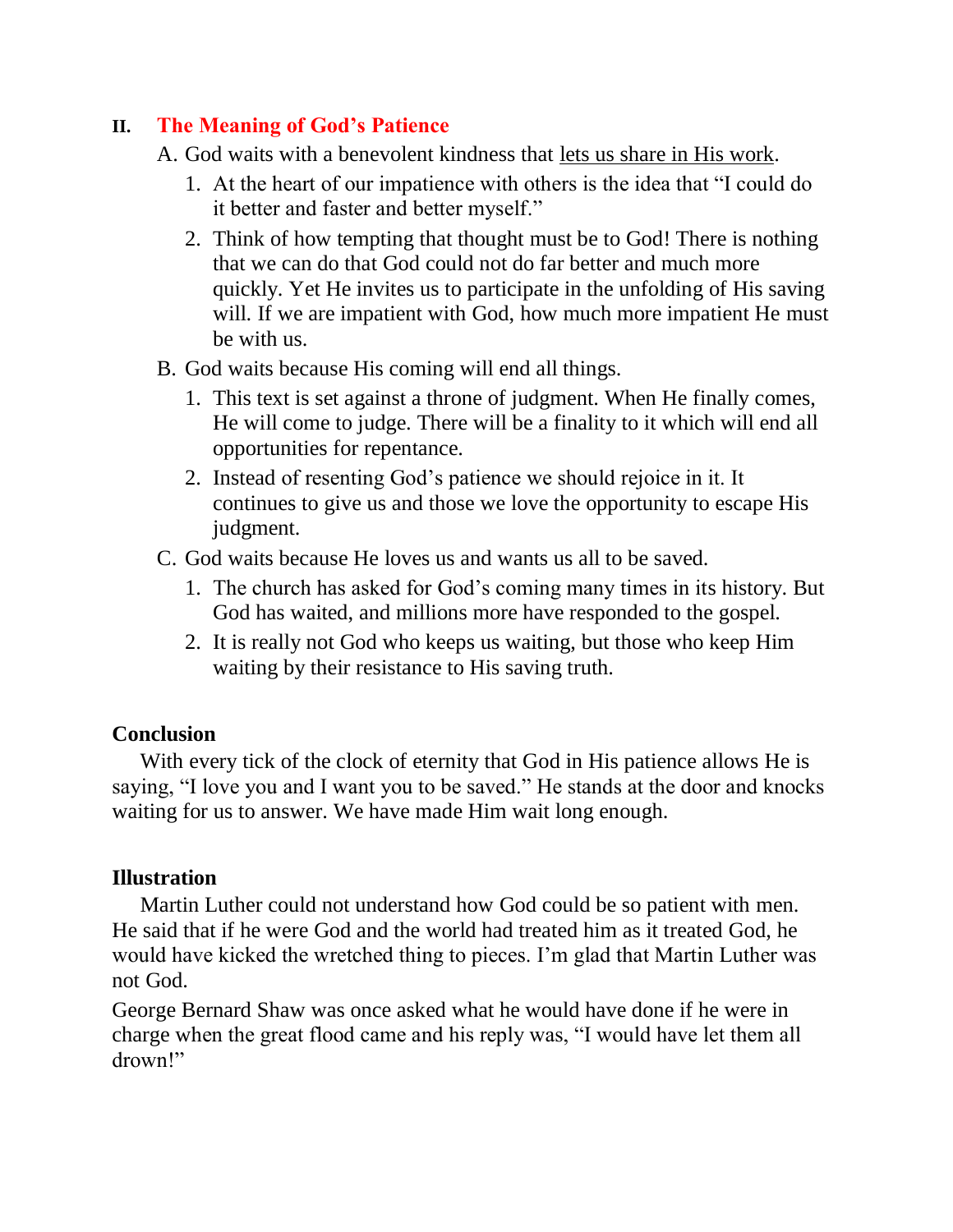#### **II. The Meaning of God's Patience**

A. God waits with a benevolent kindness that lets us share in His work.

- 1. At the heart of our impatience with others is the idea that "I could do it better and faster and better myself."
- 2. Think of how tempting that thought must be to God! There is nothing that we can do that God could not do far better and much more quickly. Yet He invites us to participate in the unfolding of His saving will. If we are impatient with God, how much more impatient He must be with us.
- B. God waits because His coming will end all things.
	- 1. This text is set against a throne of judgment. When He finally comes, He will come to judge. There will be a finality to it which will end all opportunities for repentance.
	- 2. Instead of resenting God"s patience we should rejoice in it. It continues to give us and those we love the opportunity to escape His judgment.
- C. God waits because He loves us and wants us all to be saved.
	- 1. The church has asked for God"s coming many times in its history. But God has waited, and millions more have responded to the gospel.
	- 2. It is really not God who keeps us waiting, but those who keep Him waiting by their resistance to His saving truth.

## **Conclusion**

With every tick of the clock of eternity that God in His patience allows He is saying, "I love you and I want you to be saved." He stands at the door and knocks waiting for us to answer. We have made Him wait long enough.

## **Illustration**

Martin Luther could not understand how God could be so patient with men. He said that if he were God and the world had treated him as it treated God, he would have kicked the wretched thing to pieces. I"m glad that Martin Luther was not God.

George Bernard Shaw was once asked what he would have done if he were in charge when the great flood came and his reply was, "I would have let them all drown!"